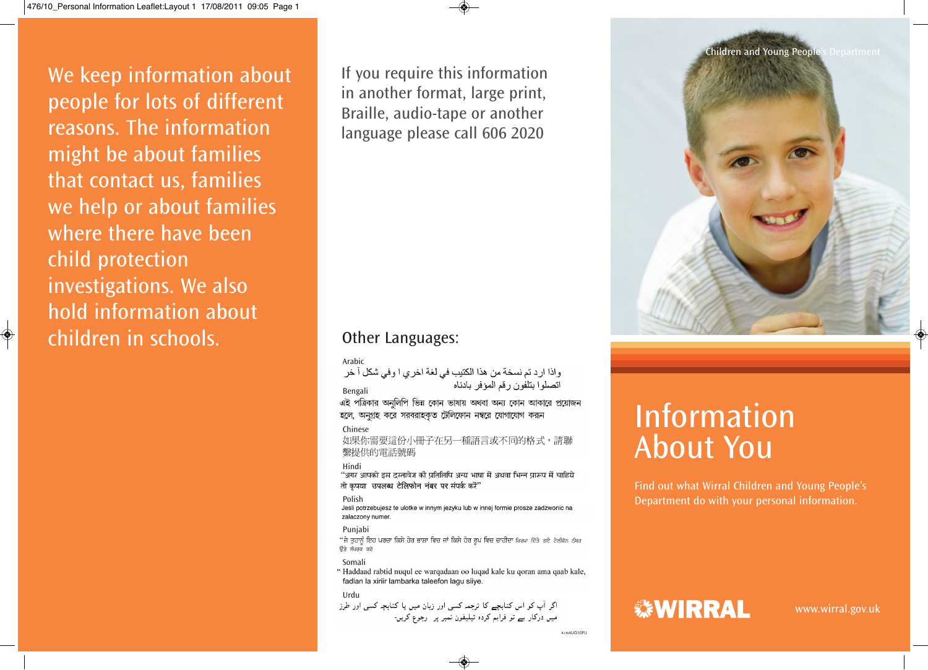We keep information about people for lots of different reasons. The information might be about families that contact us, families we help or about families where there have been child protection investigations. We also hold information about children in schools.

◈

If you require this information in another format, large print, Braille, audio-tape or another language please call 606 2020

## Other Languages:

Arabic<br>واذا ارد تم نسخة من هذا الكتيب في لغة اخر ٍ ا وفي شكل آ خر اتصلوا بتلفون رقم المؤفر بادناه Bengali

এই পত্রিকার অনুলিপি ভিন্ন কোন ভাষায় অথবা অন্য কোন আকারে প্রয়োজন হলে, অনুগ্রহ করে সরবরাহকৃত টেলিফোন নম্বরে যোগাযোগ করূন

## Chinese

如果你需要這份小冊子在另一種語言或不同的格式,請聯 繫提供的雷話號碼

Hindi<br>"अगर आपको इस दस्तावेज की प्रतिलिपि अन्य भाषा में अथवा भिन्न प्रारूप में चाहिये तो कृपया उपलब्ध टेलिफोन नंबर पर संपर्क करें"

Polish<br>Jesli potrzebujesz te ulotke w innym jezyku lub w innej formie prosze zadzwonic na zalaczony numer.

## Punjabi

"ਜੇ ਤੁਹਾਨੂੰ ਇਹ ਪਰਚਾ ਕਿਸੇ ਹੋਰ ਭਾਸ਼ਾ ਵਿਚ ਜਾਂ ਕਿਸੇ ਹੋਰ ਰੂਪ ਵਿਚ ਚਾਹੀਦਾ ਕਿਰਪਾ ਦਿੱਤੇ ਗਏ ਟੇਲੀਫੋਨ ਨੰਬਰ ਉੱਤੇ ਸੰਪਰਕ ਕਰੋ

Somali<br>" Haddaad rabtid nuqul ee warqadaan oo luqad kale ku qoran ama qaab kale, fadlan la xiriir lambarka taleefon lagu siiye.

Urdu<br>اگر آب کو اس کتابچے کا ترجم کسے اور زبان میں یا کتابچ کسی اور طرز میں درکار ہے تو فراہم کردہ ٹیلیفون نمبر پر " رجوع کریں۔



# Information About You

Find out what Wirral Children and Young People's Department do with your personal information.

## **※WIRRAL**

476AUG10PJ

www.wirral.gov.uk